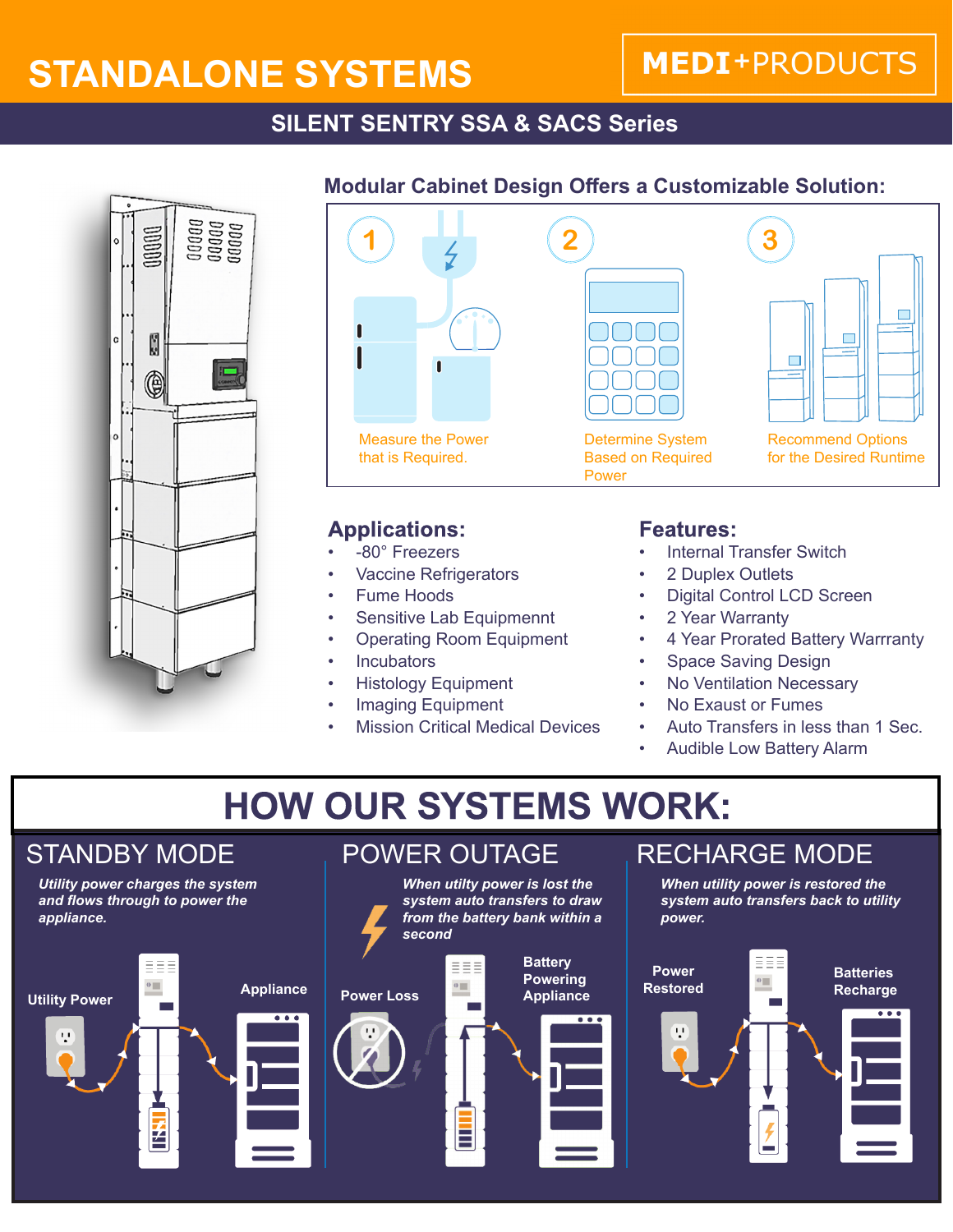# **STANDALONE SYSTEMS**

### **MEDI+PRODUCTS**

### **SILENT SENTRY SSA & SACS Series**



#### **Modular Cabinet Design Offers a Customizable Solution:**



#### **Applications:**

- -80° Freezers
- **Vaccine Refrigerators**
- Fume Hoods
- Sensitive Lab Equipmennt
- Operating Room Equipment
- **Incubators**
- Histology Equipment
- Imaging Equipment
- **Mission Critical Medical Devices**

#### **Features:**

- Internal Transfer Switch
- 2 Duplex Outlets
- Digital Control LCD Screen
- 2 Year Warranty
- 4 Year Prorated Battery Warrranty
- Space Saving Design
- **No Ventilation Necessary**
- No Exaust or Fumes
- Auto Transfers in less than 1 Sec.
- Audible Low Battery Alarm

# **HOW OUR SYSTEMS WORK:**